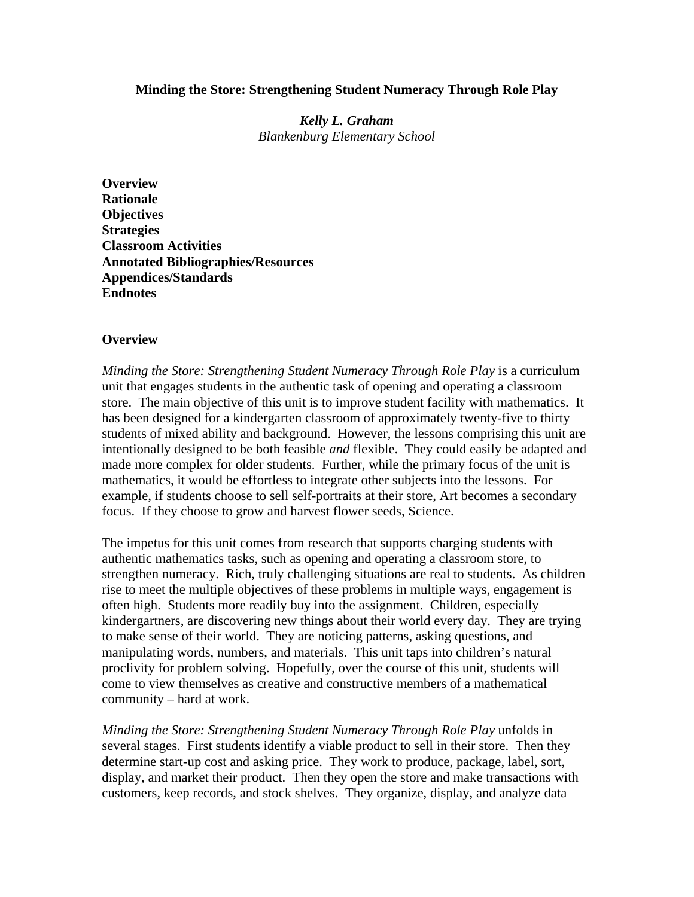#### **Minding the Store: Strengthening Student Numeracy Through Role Play**

*Kelly L. Graham Blankenburg Elementary School* 

**Overview Rationale Objectives Strategies Classroom Activities Annotated Bibliographies/Resources Appendices/Standards Endnotes** 

#### **Overview**

*Minding the Store: Strengthening Student Numeracy Through Role Play* is a curriculum unit that engages students in the authentic task of opening and operating a classroom store. The main objective of this unit is to improve student facility with mathematics. It has been designed for a kindergarten classroom of approximately twenty-five to thirty students of mixed ability and background. However, the lessons comprising this unit are intentionally designed to be both feasible *and* flexible. They could easily be adapted and made more complex for older students. Further, while the primary focus of the unit is mathematics, it would be effortless to integrate other subjects into the lessons. For example, if students choose to sell self-portraits at their store, Art becomes a secondary focus. If they choose to grow and harvest flower seeds, Science.

The impetus for this unit comes from research that supports charging students with authentic mathematics tasks, such as opening and operating a classroom store, to strengthen numeracy. Rich, truly challenging situations are real to students. As children rise to meet the multiple objectives of these problems in multiple ways, engagement is often high. Students more readily buy into the assignment. Children, especially kindergartners, are discovering new things about their world every day. They are trying to make sense of their world. They are noticing patterns, asking questions, and manipulating words, numbers, and materials. This unit taps into children's natural proclivity for problem solving. Hopefully, over the course of this unit, students will come to view themselves as creative and constructive members of a mathematical community – hard at work.

*Minding the Store: Strengthening Student Numeracy Through Role Play* unfolds in several stages. First students identify a viable product to sell in their store. Then they determine start-up cost and asking price. They work to produce, package, label, sort, display, and market their product. Then they open the store and make transactions with customers, keep records, and stock shelves. They organize, display, and analyze data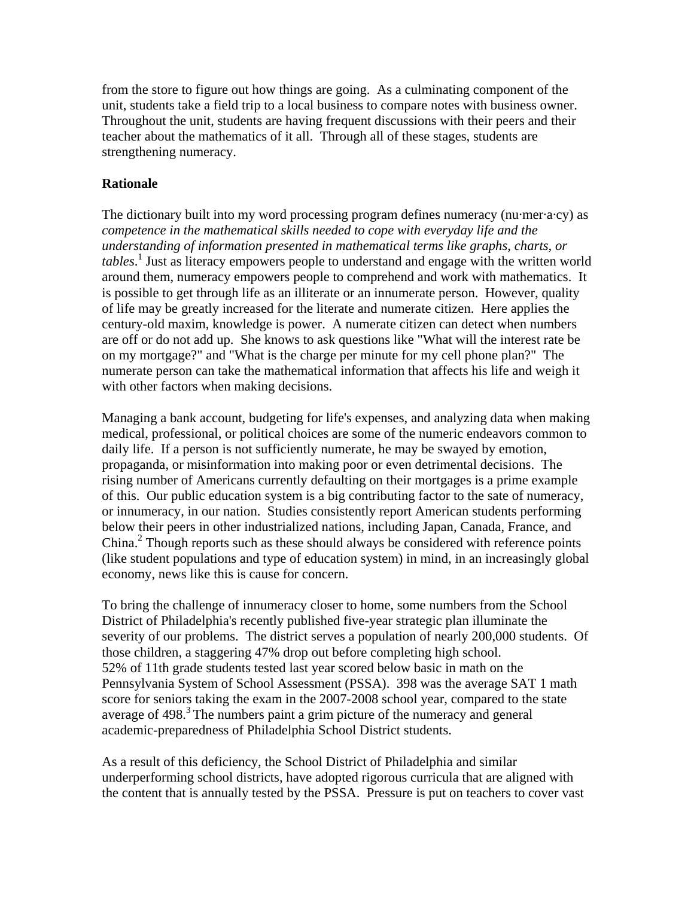from the store to figure out how things are going. As a culminating component of the unit, students take a field trip to a local business to compare notes with business owner. Throughout the unit, students are having frequent discussions with their peers and their teacher about the mathematics of it all. Through all of these stages, students are strengthening numeracy.

#### **Rationale**

The dictionary built into my word processing program defines numeracy (nu·mer·a·cy) as *competence in the mathematical skills needed to cope with everyday life and the understanding of information presented in mathematical terms like graphs, charts, or tables*. 1 Just as literacy empowers people to understand and engage with the written world around them, numeracy empowers people to comprehend and work with mathematics. It is possible to get through life as an illiterate or an innumerate person. However, quality of life may be greatly increased for the literate and numerate citizen. Here applies the century-old maxim, knowledge is power. A numerate citizen can detect when numbers are off or do not add up. She knows to ask questions like "What will the interest rate be on my mortgage?" and "What is the charge per minute for my cell phone plan?" The numerate person can take the mathematical information that affects his life and weigh it with other factors when making decisions.

Managing a bank account, budgeting for life's expenses, and analyzing data when making medical, professional, or political choices are some of the numeric endeavors common to daily life. If a person is not sufficiently numerate, he may be swayed by emotion, propaganda, or misinformation into making poor or even detrimental decisions. The rising number of Americans currently defaulting on their mortgages is a prime example of this. Our public education system is a big contributing factor to the sate of numeracy, or innumeracy, in our nation. Studies consistently report American students performing below their peers in other industrialized nations, including Japan, Canada, France, and China.<sup>2</sup> Though reports such as these should always be considered with reference points (like student populations and type of education system) in mind, in an increasingly global economy, news like this is cause for concern.

To bring the challenge of innumeracy closer to home, some numbers from the School District of Philadelphia's recently published five-year strategic plan illuminate the severity of our problems. The district serves a population of nearly 200,000 students. Of those children, a staggering 47% drop out before completing high school. 52% of 11th grade students tested last year scored below basic in math on the Pennsylvania System of School Assessment (PSSA). 398 was the average SAT 1 math score for seniors taking the exam in the 2007-2008 school year, compared to the state average of  $498$ <sup>3</sup>. The numbers paint a grim picture of the numeracy and general academic-preparedness of Philadelphia School District students.

As a result of this deficiency, the School District of Philadelphia and similar underperforming school districts, have adopted rigorous curricula that are aligned with the content that is annually tested by the PSSA. Pressure is put on teachers to cover vast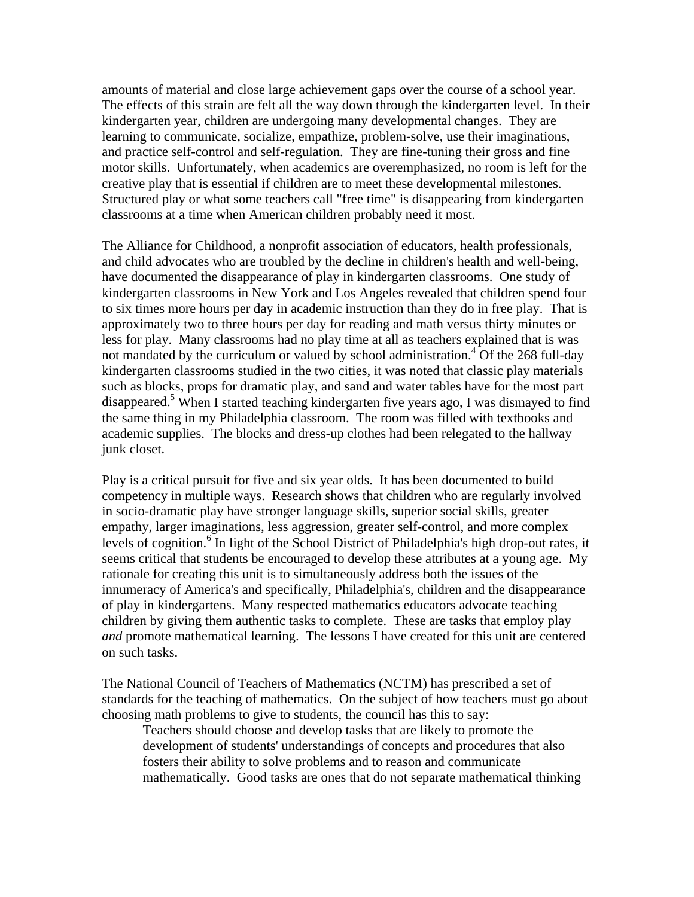amounts of material and close large achievement gaps over the course of a school year. The effects of this strain are felt all the way down through the kindergarten level. In their kindergarten year, children are undergoing many developmental changes. They are learning to communicate, socialize, empathize, problem-solve, use their imaginations, and practice self-control and self-regulation. They are fine-tuning their gross and fine motor skills. Unfortunately, when academics are overemphasized, no room is left for the creative play that is essential if children are to meet these developmental milestones. Structured play or what some teachers call "free time" is disappearing from kindergarten classrooms at a time when American children probably need it most.

The Alliance for Childhood, a nonprofit association of educators, health professionals, and child advocates who are troubled by the decline in children's health and well-being, have documented the disappearance of play in kindergarten classrooms. One study of kindergarten classrooms in New York and Los Angeles revealed that children spend four to six times more hours per day in academic instruction than they do in free play. That is approximately two to three hours per day for reading and math versus thirty minutes or less for play. Many classrooms had no play time at all as teachers explained that is was not mandated by the curriculum or valued by school administration.<sup>4</sup> Of the 268 full-day kindergarten classrooms studied in the two cities, it was noted that classic play materials such as blocks, props for dramatic play, and sand and water tables have for the most part disappeared.<sup>5</sup> When I started teaching kindergarten five years ago, I was dismayed to find the same thing in my Philadelphia classroom. The room was filled with textbooks and academic supplies. The blocks and dress-up clothes had been relegated to the hallway junk closet.

Play is a critical pursuit for five and six year olds. It has been documented to build competency in multiple ways. Research shows that children who are regularly involved in socio-dramatic play have stronger language skills, superior social skills, greater empathy, larger imaginations, less aggression, greater self-control, and more complex levels of cognition.<sup>6</sup> In light of the School District of Philadelphia's high drop-out rates, it seems critical that students be encouraged to develop these attributes at a young age. My rationale for creating this unit is to simultaneously address both the issues of the innumeracy of America's and specifically, Philadelphia's, children and the disappearance of play in kindergartens. Many respected mathematics educators advocate teaching children by giving them authentic tasks to complete. These are tasks that employ play *and* promote mathematical learning. The lessons I have created for this unit are centered on such tasks.

The National Council of Teachers of Mathematics (NCTM) has prescribed a set of standards for the teaching of mathematics. On the subject of how teachers must go about choosing math problems to give to students, the council has this to say:

Teachers should choose and develop tasks that are likely to promote the development of students' understandings of concepts and procedures that also fosters their ability to solve problems and to reason and communicate mathematically. Good tasks are ones that do not separate mathematical thinking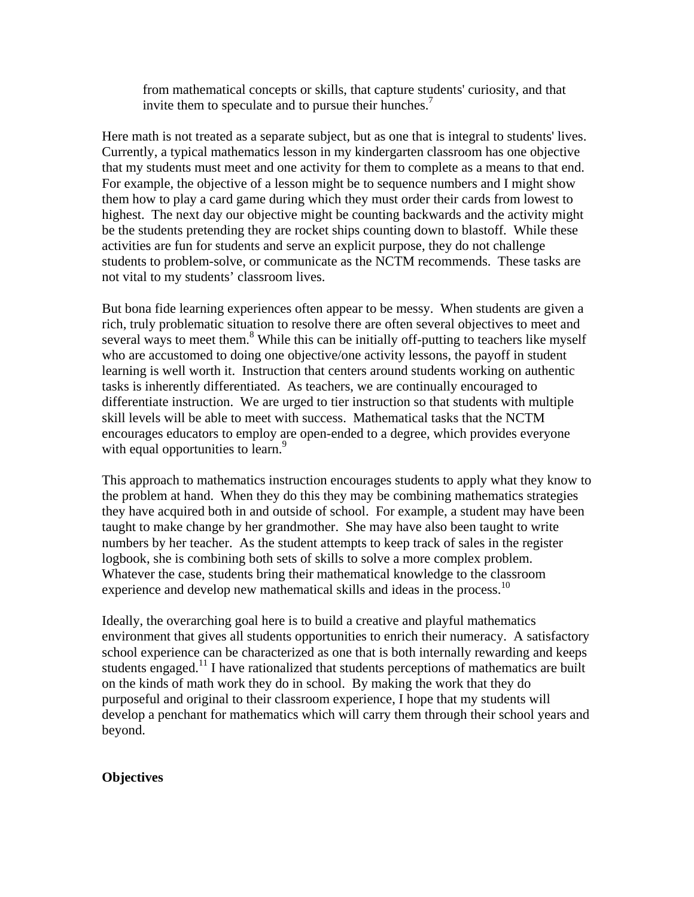from mathematical concepts or skills, that capture students' curiosity, and that invite them to speculate and to pursue their hunches.<sup>7</sup>

Here math is not treated as a separate subject, but as one that is integral to students' lives. Currently, a typical mathematics lesson in my kindergarten classroom has one objective that my students must meet and one activity for them to complete as a means to that end. For example, the objective of a lesson might be to sequence numbers and I might show them how to play a card game during which they must order their cards from lowest to highest. The next day our objective might be counting backwards and the activity might be the students pretending they are rocket ships counting down to blastoff. While these activities are fun for students and serve an explicit purpose, they do not challenge students to problem-solve, or communicate as the NCTM recommends. These tasks are not vital to my students' classroom lives.

But bona fide learning experiences often appear to be messy. When students are given a rich, truly problematic situation to resolve there are often several objectives to meet and several ways to meet them.<sup>8</sup> While this can be initially off-putting to teachers like myself who are accustomed to doing one objective/one activity lessons, the payoff in student learning is well worth it. Instruction that centers around students working on authentic tasks is inherently differentiated. As teachers, we are continually encouraged to differentiate instruction. We are urged to tier instruction so that students with multiple skill levels will be able to meet with success. Mathematical tasks that the NCTM encourages educators to employ are open-ended to a degree, which provides everyone with equal opportunities to learn.<sup>9</sup>

This approach to mathematics instruction encourages students to apply what they know to the problem at hand. When they do this they may be combining mathematics strategies they have acquired both in and outside of school. For example, a student may have been taught to make change by her grandmother. She may have also been taught to write numbers by her teacher. As the student attempts to keep track of sales in the register logbook, she is combining both sets of skills to solve a more complex problem. Whatever the case, students bring their mathematical knowledge to the classroom experience and develop new mathematical skills and ideas in the process.<sup>10</sup>

Ideally, the overarching goal here is to build a creative and playful mathematics environment that gives all students opportunities to enrich their numeracy. A satisfactory school experience can be characterized as one that is both internally rewarding and keeps students engaged.<sup>11</sup> I have rationalized that students perceptions of mathematics are built on the kinds of math work they do in school. By making the work that they do purposeful and original to their classroom experience, I hope that my students will develop a penchant for mathematics which will carry them through their school years and beyond.

#### **Objectives**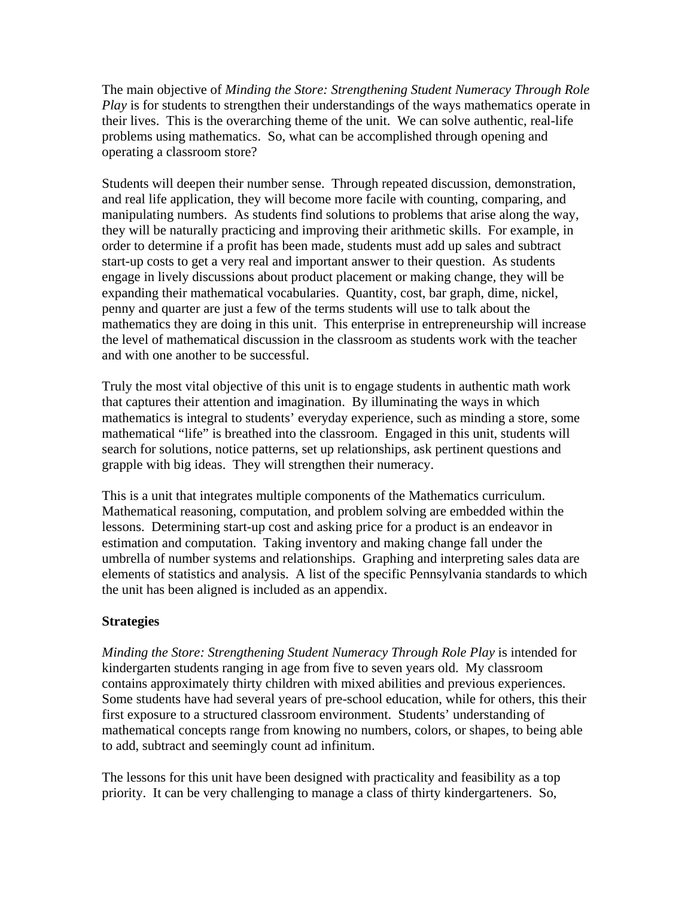The main objective of *Minding the Store: Strengthening Student Numeracy Through Role Play* is for students to strengthen their understandings of the ways mathematics operate in their lives. This is the overarching theme of the unit. We can solve authentic, real-life problems using mathematics. So, what can be accomplished through opening and operating a classroom store?

Students will deepen their number sense. Through repeated discussion, demonstration, and real life application, they will become more facile with counting, comparing, and manipulating numbers. As students find solutions to problems that arise along the way, they will be naturally practicing and improving their arithmetic skills. For example, in order to determine if a profit has been made, students must add up sales and subtract start-up costs to get a very real and important answer to their question. As students engage in lively discussions about product placement or making change, they will be expanding their mathematical vocabularies. Quantity, cost, bar graph, dime, nickel, penny and quarter are just a few of the terms students will use to talk about the mathematics they are doing in this unit. This enterprise in entrepreneurship will increase the level of mathematical discussion in the classroom as students work with the teacher and with one another to be successful.

Truly the most vital objective of this unit is to engage students in authentic math work that captures their attention and imagination. By illuminating the ways in which mathematics is integral to students' everyday experience, such as minding a store, some mathematical "life" is breathed into the classroom. Engaged in this unit, students will search for solutions, notice patterns, set up relationships, ask pertinent questions and grapple with big ideas. They will strengthen their numeracy.

This is a unit that integrates multiple components of the Mathematics curriculum. Mathematical reasoning, computation, and problem solving are embedded within the lessons. Determining start-up cost and asking price for a product is an endeavor in estimation and computation. Taking inventory and making change fall under the umbrella of number systems and relationships. Graphing and interpreting sales data are elements of statistics and analysis. A list of the specific Pennsylvania standards to which the unit has been aligned is included as an appendix.

# **Strategies**

*Minding the Store: Strengthening Student Numeracy Through Role Play* is intended for kindergarten students ranging in age from five to seven years old. My classroom contains approximately thirty children with mixed abilities and previous experiences. Some students have had several years of pre-school education, while for others, this their first exposure to a structured classroom environment. Students' understanding of mathematical concepts range from knowing no numbers, colors, or shapes, to being able to add, subtract and seemingly count ad infinitum.

The lessons for this unit have been designed with practicality and feasibility as a top priority. It can be very challenging to manage a class of thirty kindergarteners. So,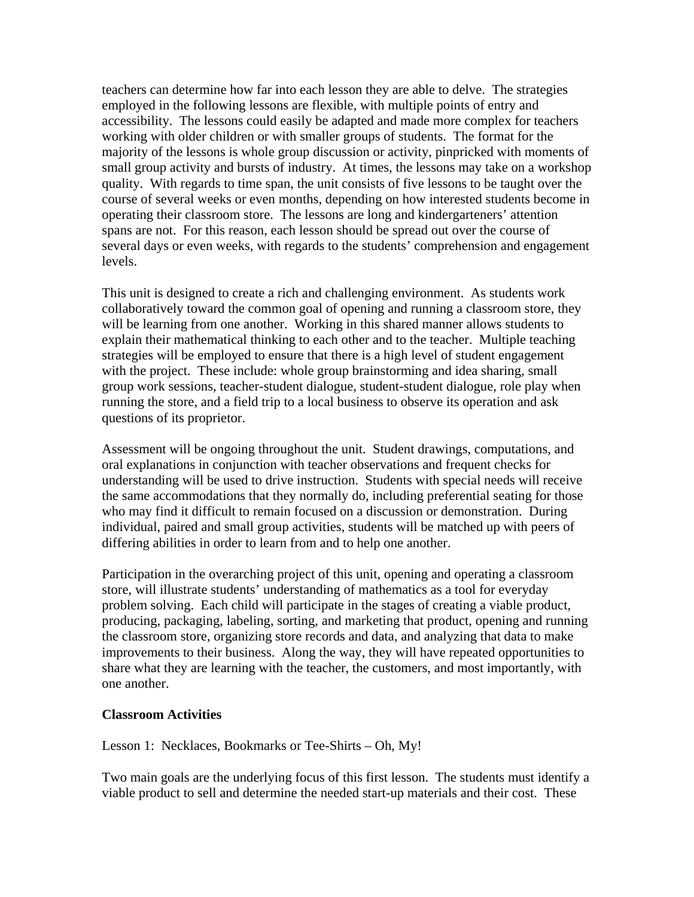teachers can determine how far into each lesson they are able to delve. The strategies employed in the following lessons are flexible, with multiple points of entry and accessibility. The lessons could easily be adapted and made more complex for teachers working with older children or with smaller groups of students. The format for the majority of the lessons is whole group discussion or activity, pinpricked with moments of small group activity and bursts of industry. At times, the lessons may take on a workshop quality. With regards to time span, the unit consists of five lessons to be taught over the course of several weeks or even months, depending on how interested students become in operating their classroom store. The lessons are long and kindergarteners' attention spans are not. For this reason, each lesson should be spread out over the course of several days or even weeks, with regards to the students' comprehension and engagement levels.

This unit is designed to create a rich and challenging environment. As students work collaboratively toward the common goal of opening and running a classroom store, they will be learning from one another. Working in this shared manner allows students to explain their mathematical thinking to each other and to the teacher. Multiple teaching strategies will be employed to ensure that there is a high level of student engagement with the project. These include: whole group brainstorming and idea sharing, small group work sessions, teacher-student dialogue, student-student dialogue, role play when running the store, and a field trip to a local business to observe its operation and ask questions of its proprietor.

Assessment will be ongoing throughout the unit. Student drawings, computations, and oral explanations in conjunction with teacher observations and frequent checks for understanding will be used to drive instruction. Students with special needs will receive the same accommodations that they normally do, including preferential seating for those who may find it difficult to remain focused on a discussion or demonstration. During individual, paired and small group activities, students will be matched up with peers of differing abilities in order to learn from and to help one another.

Participation in the overarching project of this unit, opening and operating a classroom store, will illustrate students' understanding of mathematics as a tool for everyday problem solving. Each child will participate in the stages of creating a viable product, producing, packaging, labeling, sorting, and marketing that product, opening and running the classroom store, organizing store records and data, and analyzing that data to make improvements to their business. Along the way, they will have repeated opportunities to share what they are learning with the teacher, the customers, and most importantly, with one another.

### **Classroom Activities**

Lesson 1: Necklaces, Bookmarks or Tee-Shirts – Oh, My!

Two main goals are the underlying focus of this first lesson. The students must identify a viable product to sell and determine the needed start-up materials and their cost. These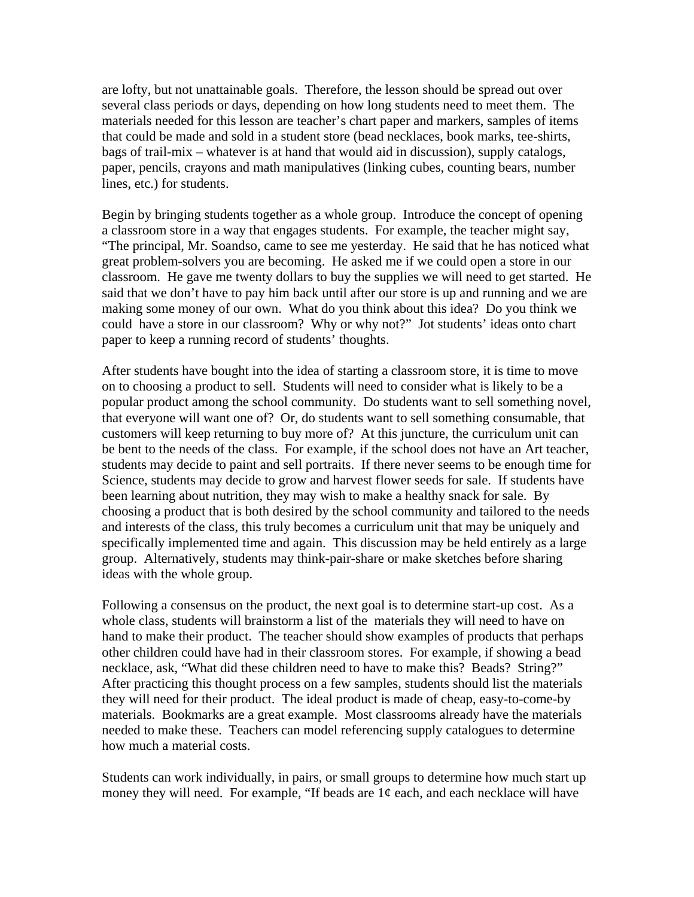are lofty, but not unattainable goals. Therefore, the lesson should be spread out over several class periods or days, depending on how long students need to meet them. The materials needed for this lesson are teacher's chart paper and markers, samples of items that could be made and sold in a student store (bead necklaces, book marks, tee-shirts, bags of trail-mix – whatever is at hand that would aid in discussion), supply catalogs, paper, pencils, crayons and math manipulatives (linking cubes, counting bears, number lines, etc.) for students.

Begin by bringing students together as a whole group. Introduce the concept of opening a classroom store in a way that engages students. For example, the teacher might say, "The principal, Mr. Soandso, came to see me yesterday. He said that he has noticed what great problem-solvers you are becoming. He asked me if we could open a store in our classroom. He gave me twenty dollars to buy the supplies we will need to get started. He said that we don't have to pay him back until after our store is up and running and we are making some money of our own. What do you think about this idea? Do you think we could have a store in our classroom? Why or why not?" Jot students' ideas onto chart paper to keep a running record of students' thoughts.

After students have bought into the idea of starting a classroom store, it is time to move on to choosing a product to sell. Students will need to consider what is likely to be a popular product among the school community. Do students want to sell something novel, that everyone will want one of? Or, do students want to sell something consumable, that customers will keep returning to buy more of? At this juncture, the curriculum unit can be bent to the needs of the class. For example, if the school does not have an Art teacher, students may decide to paint and sell portraits. If there never seems to be enough time for Science, students may decide to grow and harvest flower seeds for sale. If students have been learning about nutrition, they may wish to make a healthy snack for sale. By choosing a product that is both desired by the school community and tailored to the needs and interests of the class, this truly becomes a curriculum unit that may be uniquely and specifically implemented time and again. This discussion may be held entirely as a large group. Alternatively, students may think-pair-share or make sketches before sharing ideas with the whole group.

Following a consensus on the product, the next goal is to determine start-up cost. As a whole class, students will brainstorm a list of the materials they will need to have on hand to make their product. The teacher should show examples of products that perhaps other children could have had in their classroom stores. For example, if showing a bead necklace, ask, "What did these children need to have to make this? Beads? String?" After practicing this thought process on a few samples, students should list the materials they will need for their product. The ideal product is made of cheap, easy-to-come-by materials. Bookmarks are a great example. Most classrooms already have the materials needed to make these. Teachers can model referencing supply catalogues to determine how much a material costs.

Students can work individually, in pairs, or small groups to determine how much start up money they will need. For example, "If beads are  $1¢$  each, and each necklace will have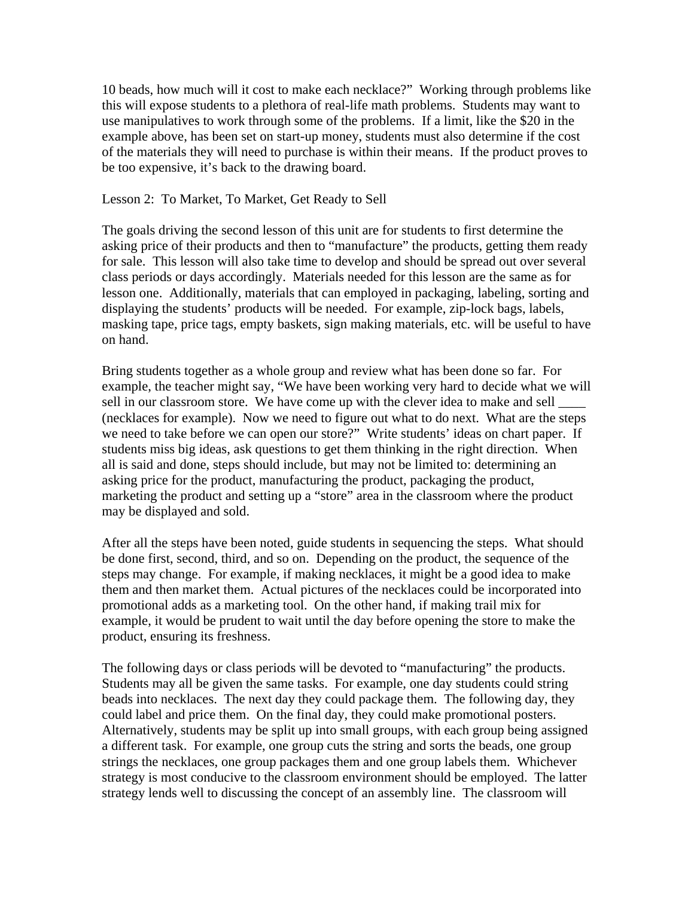10 beads, how much will it cost to make each necklace?" Working through problems like this will expose students to a plethora of real-life math problems. Students may want to use manipulatives to work through some of the problems. If a limit, like the \$20 in the example above, has been set on start-up money, students must also determine if the cost of the materials they will need to purchase is within their means. If the product proves to be too expensive, it's back to the drawing board.

#### Lesson 2: To Market, To Market, Get Ready to Sell

The goals driving the second lesson of this unit are for students to first determine the asking price of their products and then to "manufacture" the products, getting them ready for sale. This lesson will also take time to develop and should be spread out over several class periods or days accordingly. Materials needed for this lesson are the same as for lesson one. Additionally, materials that can employed in packaging, labeling, sorting and displaying the students' products will be needed. For example, zip-lock bags, labels, masking tape, price tags, empty baskets, sign making materials, etc. will be useful to have on hand.

Bring students together as a whole group and review what has been done so far. For example, the teacher might say, "We have been working very hard to decide what we will sell in our classroom store. We have come up with the clever idea to make and sell (necklaces for example). Now we need to figure out what to do next. What are the steps we need to take before we can open our store?" Write students' ideas on chart paper. If students miss big ideas, ask questions to get them thinking in the right direction. When all is said and done, steps should include, but may not be limited to: determining an asking price for the product, manufacturing the product, packaging the product, marketing the product and setting up a "store" area in the classroom where the product may be displayed and sold.

After all the steps have been noted, guide students in sequencing the steps. What should be done first, second, third, and so on. Depending on the product, the sequence of the steps may change. For example, if making necklaces, it might be a good idea to make them and then market them. Actual pictures of the necklaces could be incorporated into promotional adds as a marketing tool. On the other hand, if making trail mix for example, it would be prudent to wait until the day before opening the store to make the product, ensuring its freshness.

The following days or class periods will be devoted to "manufacturing" the products. Students may all be given the same tasks. For example, one day students could string beads into necklaces. The next day they could package them. The following day, they could label and price them. On the final day, they could make promotional posters. Alternatively, students may be split up into small groups, with each group being assigned a different task. For example, one group cuts the string and sorts the beads, one group strings the necklaces, one group packages them and one group labels them. Whichever strategy is most conducive to the classroom environment should be employed. The latter strategy lends well to discussing the concept of an assembly line. The classroom will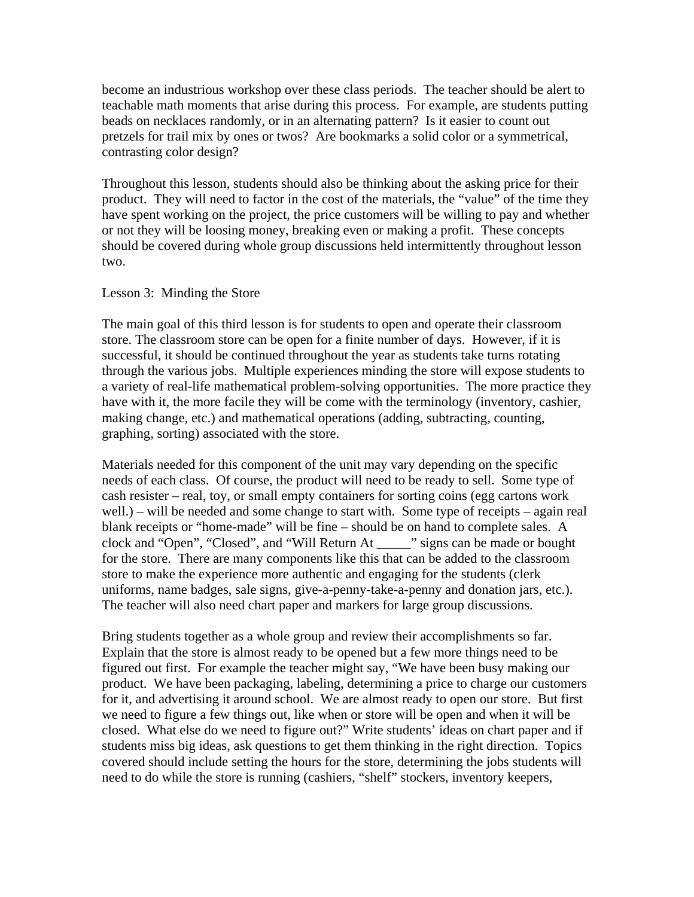become an industrious workshop over these class periods. The teacher should be alert to teachable math moments that arise during this process. For example, are students putting beads on necklaces randomly, or in an alternating pattern? Is it easier to count out pretzels for trail mix by ones or twos? Are bookmarks a solid color or a symmetrical, contrasting color design?

Throughout this lesson, students should also be thinking about the asking price for their product. They will need to factor in the cost of the materials, the "value" of the time they have spent working on the project, the price customers will be willing to pay and whether or not they will be loosing money, breaking even or making a profit. These concepts should be covered during whole group discussions held intermittently throughout lesson two.

#### Lesson 3: Minding the Store

The main goal of this third lesson is for students to open and operate their classroom store. The classroom store can be open for a finite number of days. However, if it is successful, it should be continued throughout the year as students take turns rotating through the various jobs. Multiple experiences minding the store will expose students to a variety of real-life mathematical problem-solving opportunities. The more practice they have with it, the more facile they will be come with the terminology (inventory, cashier, making change, etc.) and mathematical operations (adding, subtracting, counting, graphing, sorting) associated with the store.

Materials needed for this component of the unit may vary depending on the specific needs of each class. Of course, the product will need to be ready to sell. Some type of cash resister – real, toy, or small empty containers for sorting coins (egg cartons work well.) – will be needed and some change to start with. Some type of receipts – again real blank receipts or "home-made" will be fine – should be on hand to complete sales. A clock and "Open", "Closed", and "Will Return At \_\_\_\_\_" signs can be made or bought for the store. There are many components like this that can be added to the classroom store to make the experience more authentic and engaging for the students (clerk uniforms, name badges, sale signs, give-a-penny-take-a-penny and donation jars, etc.). The teacher will also need chart paper and markers for large group discussions.

Bring students together as a whole group and review their accomplishments so far. Explain that the store is almost ready to be opened but a few more things need to be figured out first. For example the teacher might say, "We have been busy making our product. We have been packaging, labeling, determining a price to charge our customers for it, and advertising it around school. We are almost ready to open our store. But first we need to figure a few things out, like when or store will be open and when it will be closed. What else do we need to figure out?" Write students' ideas on chart paper and if students miss big ideas, ask questions to get them thinking in the right direction. Topics covered should include setting the hours for the store, determining the jobs students will need to do while the store is running (cashiers, "shelf" stockers, inventory keepers,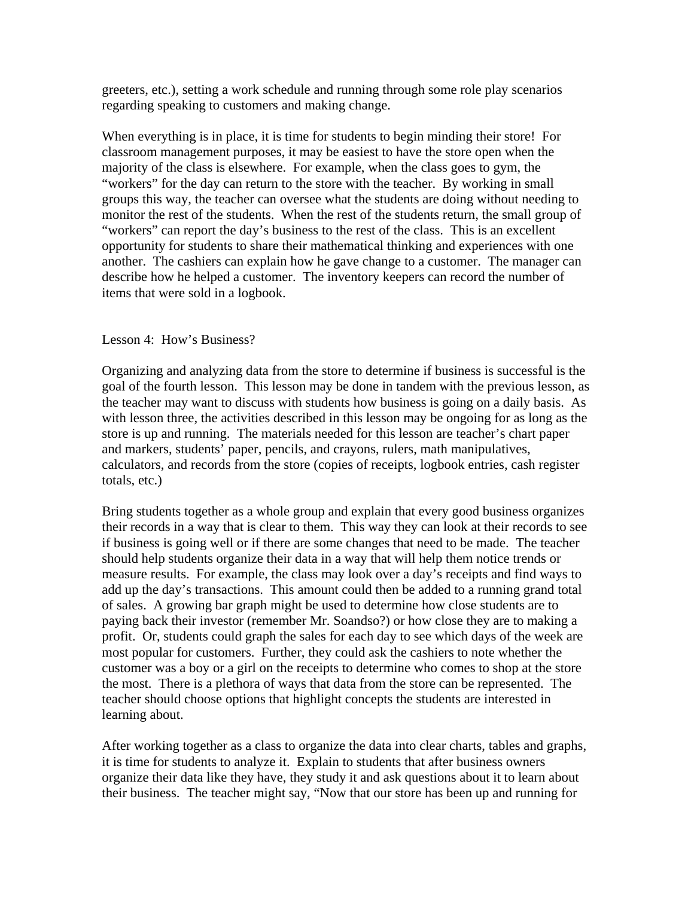greeters, etc.), setting a work schedule and running through some role play scenarios regarding speaking to customers and making change.

When everything is in place, it is time for students to begin minding their store! For classroom management purposes, it may be easiest to have the store open when the majority of the class is elsewhere. For example, when the class goes to gym, the "workers" for the day can return to the store with the teacher. By working in small groups this way, the teacher can oversee what the students are doing without needing to monitor the rest of the students. When the rest of the students return, the small group of "workers" can report the day's business to the rest of the class. This is an excellent opportunity for students to share their mathematical thinking and experiences with one another. The cashiers can explain how he gave change to a customer. The manager can describe how he helped a customer. The inventory keepers can record the number of items that were sold in a logbook.

### Lesson 4: How's Business?

Organizing and analyzing data from the store to determine if business is successful is the goal of the fourth lesson. This lesson may be done in tandem with the previous lesson, as the teacher may want to discuss with students how business is going on a daily basis. As with lesson three, the activities described in this lesson may be ongoing for as long as the store is up and running. The materials needed for this lesson are teacher's chart paper and markers, students' paper, pencils, and crayons, rulers, math manipulatives, calculators, and records from the store (copies of receipts, logbook entries, cash register totals, etc.)

Bring students together as a whole group and explain that every good business organizes their records in a way that is clear to them. This way they can look at their records to see if business is going well or if there are some changes that need to be made. The teacher should help students organize their data in a way that will help them notice trends or measure results. For example, the class may look over a day's receipts and find ways to add up the day's transactions. This amount could then be added to a running grand total of sales. A growing bar graph might be used to determine how close students are to paying back their investor (remember Mr. Soandso?) or how close they are to making a profit. Or, students could graph the sales for each day to see which days of the week are most popular for customers. Further, they could ask the cashiers to note whether the customer was a boy or a girl on the receipts to determine who comes to shop at the store the most. There is a plethora of ways that data from the store can be represented. The teacher should choose options that highlight concepts the students are interested in learning about.

After working together as a class to organize the data into clear charts, tables and graphs, it is time for students to analyze it. Explain to students that after business owners organize their data like they have, they study it and ask questions about it to learn about their business. The teacher might say, "Now that our store has been up and running for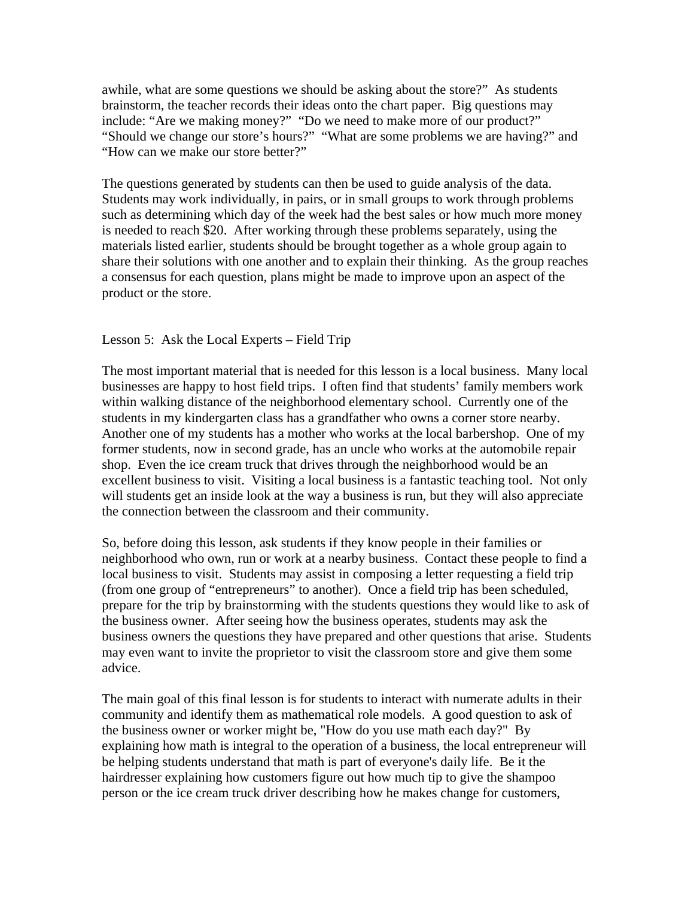awhile, what are some questions we should be asking about the store?" As students brainstorm, the teacher records their ideas onto the chart paper. Big questions may include: "Are we making money?" "Do we need to make more of our product?" "Should we change our store's hours?" "What are some problems we are having?" and "How can we make our store better?"

The questions generated by students can then be used to guide analysis of the data. Students may work individually, in pairs, or in small groups to work through problems such as determining which day of the week had the best sales or how much more money is needed to reach \$20. After working through these problems separately, using the materials listed earlier, students should be brought together as a whole group again to share their solutions with one another and to explain their thinking. As the group reaches a consensus for each question, plans might be made to improve upon an aspect of the product or the store.

### Lesson 5: Ask the Local Experts – Field Trip

The most important material that is needed for this lesson is a local business. Many local businesses are happy to host field trips. I often find that students' family members work within walking distance of the neighborhood elementary school. Currently one of the students in my kindergarten class has a grandfather who owns a corner store nearby. Another one of my students has a mother who works at the local barbershop. One of my former students, now in second grade, has an uncle who works at the automobile repair shop. Even the ice cream truck that drives through the neighborhood would be an excellent business to visit. Visiting a local business is a fantastic teaching tool. Not only will students get an inside look at the way a business is run, but they will also appreciate the connection between the classroom and their community.

So, before doing this lesson, ask students if they know people in their families or neighborhood who own, run or work at a nearby business. Contact these people to find a local business to visit. Students may assist in composing a letter requesting a field trip (from one group of "entrepreneurs" to another). Once a field trip has been scheduled, prepare for the trip by brainstorming with the students questions they would like to ask of the business owner. After seeing how the business operates, students may ask the business owners the questions they have prepared and other questions that arise. Students may even want to invite the proprietor to visit the classroom store and give them some advice.

The main goal of this final lesson is for students to interact with numerate adults in their community and identify them as mathematical role models. A good question to ask of the business owner or worker might be, "How do you use math each day?" By explaining how math is integral to the operation of a business, the local entrepreneur will be helping students understand that math is part of everyone's daily life. Be it the hairdresser explaining how customers figure out how much tip to give the shampoo person or the ice cream truck driver describing how he makes change for customers,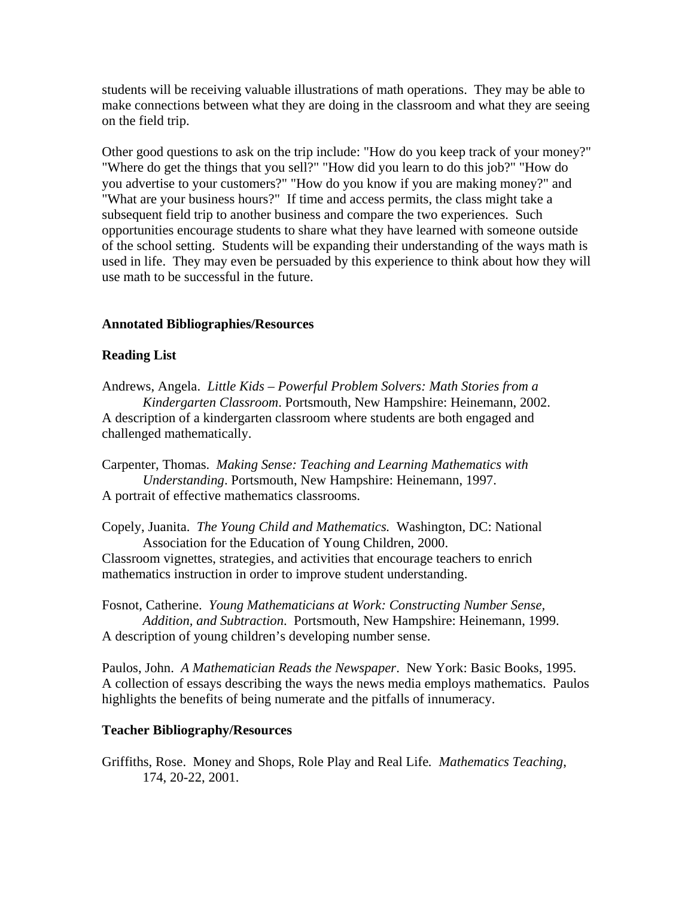students will be receiving valuable illustrations of math operations. They may be able to make connections between what they are doing in the classroom and what they are seeing on the field trip.

Other good questions to ask on the trip include: "How do you keep track of your money?" "Where do get the things that you sell?" "How did you learn to do this job?" "How do you advertise to your customers?" "How do you know if you are making money?" and "What are your business hours?" If time and access permits, the class might take a subsequent field trip to another business and compare the two experiences. Such opportunities encourage students to share what they have learned with someone outside of the school setting. Students will be expanding their understanding of the ways math is used in life. They may even be persuaded by this experience to think about how they will use math to be successful in the future.

## **Annotated Bibliographies/Resources**

## **Reading List**

Andrews, Angela. *Little Kids – Powerful Problem Solvers: Math Stories from a Kindergarten Classroom*. Portsmouth, New Hampshire: Heinemann, 2002. A description of a kindergarten classroom where students are both engaged and challenged mathematically.

Carpenter, Thomas. *Making Sense: Teaching and Learning Mathematics with Understanding*. Portsmouth, New Hampshire: Heinemann, 1997. A portrait of effective mathematics classrooms.

Copely, Juanita. *The Young Child and Mathematics.* Washington, DC: National Association for the Education of Young Children, 2000.

Classroom vignettes, strategies, and activities that encourage teachers to enrich mathematics instruction in order to improve student understanding.

Fosnot, Catherine. *Young Mathematicians at Work: Constructing Number Sense, Addition, and Subtraction*. Portsmouth, New Hampshire: Heinemann, 1999. A description of young children's developing number sense.

Paulos, John. *A Mathematician Reads the Newspaper*. New York: Basic Books, 1995. A collection of essays describing the ways the news media employs mathematics. Paulos highlights the benefits of being numerate and the pitfalls of innumeracy.

### **Teacher Bibliography/Resources**

Griffiths, Rose. Money and Shops, Role Play and Real Life*. Mathematics Teaching*, 174, 20-22, 2001.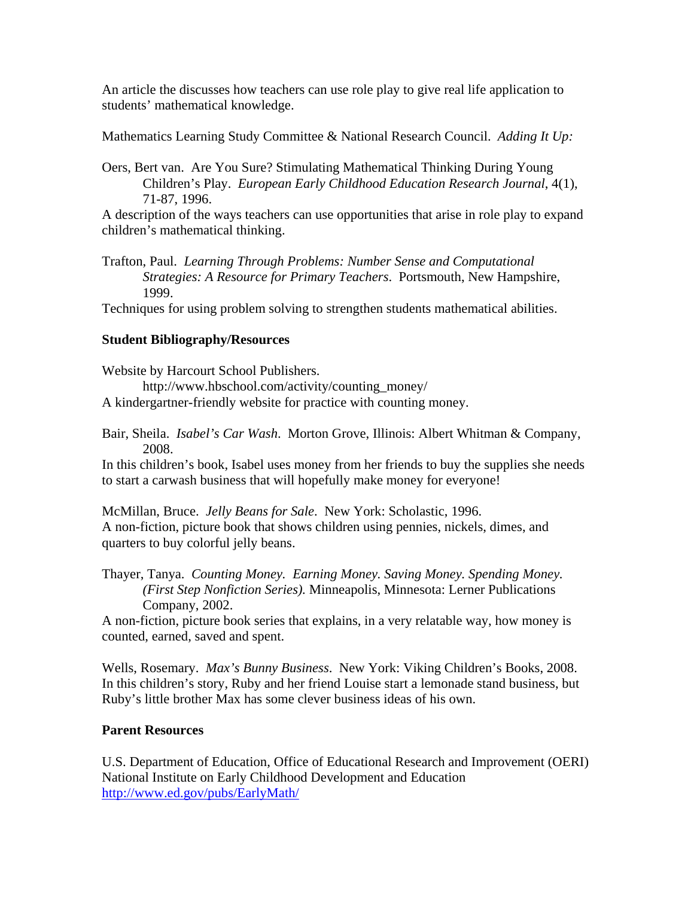An article the discusses how teachers can use role play to give real life application to students' mathematical knowledge.

Mathematics Learning Study Committee & National Research Council. *Adding It Up:* 

Oers, Bert van. Are You Sure? Stimulating Mathematical Thinking During Young Children's Play. *European Early Childhood Education Research Journal*, 4(1), 71-87, 1996.

A description of the ways teachers can use opportunities that arise in role play to expand children's mathematical thinking.

Trafton, Paul. *Learning Through Problems: Number Sense and Computational Strategies: A Resource for Primary Teachers*. Portsmouth, New Hampshire, 1999.

Techniques for using problem solving to strengthen students mathematical abilities.

# **Student Bibliography/Resources**

Website by Harcourt School Publishers. http://www.hbschool.com/activity/counting\_money/ A kindergartner-friendly website for practice with counting money.

Bair, Sheila. *Isabel's Car Wash*. Morton Grove, Illinois: Albert Whitman & Company, 2008.

In this children's book, Isabel uses money from her friends to buy the supplies she needs to start a carwash business that will hopefully make money for everyone!

McMillan, Bruce. *Jelly Beans for Sale*. New York: Scholastic, 1996. A non-fiction, picture book that shows children using pennies, nickels, dimes, and quarters to buy colorful jelly beans.

Thayer, Tanya. *Counting Money. Earning Money. Saving Money. Spending Money. (First Step Nonfiction Series).* Minneapolis, Minnesota: Lerner Publications Company, 2002.

A non-fiction, picture book series that explains, in a very relatable way, how money is counted, earned, saved and spent.

Wells, Rosemary. *Max's Bunny Business*. New York: Viking Children's Books, 2008. In this children's story, Ruby and her friend Louise start a lemonade stand business, but Ruby's little brother Max has some clever business ideas of his own.

### **Parent Resources**

U.S. Department of Education, Office of Educational Research and Improvement (OERI) National Institute on Early Childhood Development and Education <http://www.ed.gov/pubs/EarlyMath/>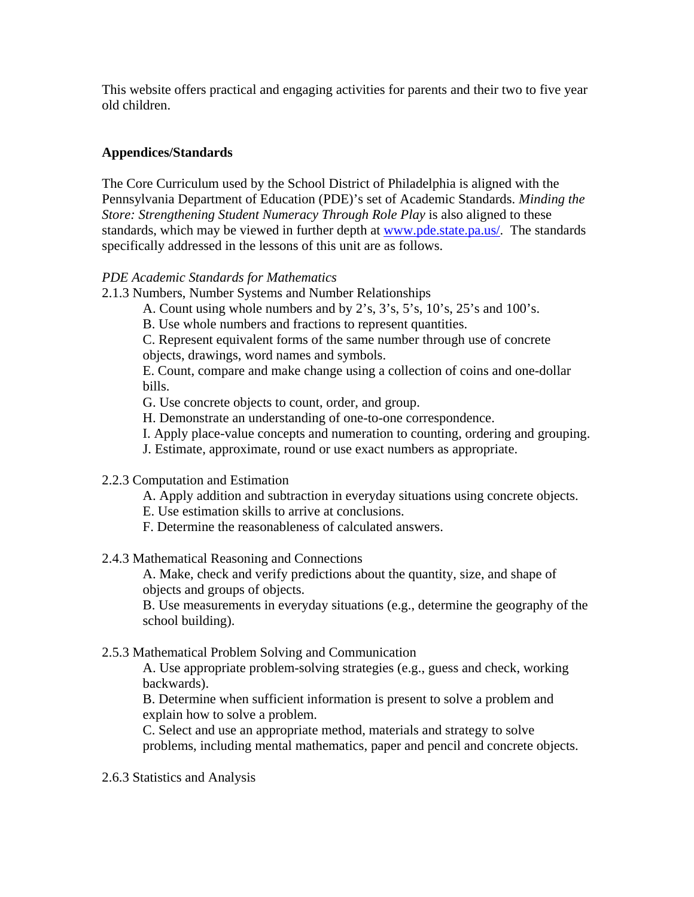This website offers practical and engaging activities for parents and their two to five year old children.

## **Appendices/Standards**

The Core Curriculum used by the School District of Philadelphia is aligned with the Pennsylvania Department of Education (PDE)'s set of Academic Standards. *Minding the Store: Strengthening Student Numeracy Through Role Play is also aligned to these* standards, which may be viewed in further depth at [www.pde.state.pa.us/](http://www.pde.state.pa.us/). The standards specifically addressed in the lessons of this unit are as follows.

## *PDE Academic Standards for Mathematics*

- 2.1.3 Numbers, Number Systems and Number Relationships
	- A. Count using whole numbers and by 2's, 3's, 5's, 10's, 25's and 100's.
	- B. Use whole numbers and fractions to represent quantities.
	- C. Represent equivalent forms of the same number through use of concrete

objects, drawings, word names and symbols.

E. Count, compare and make change using a collection of coins and one-dollar bills.

- G. Use concrete objects to count, order, and group.
- H. Demonstrate an understanding of one-to-one correspondence.
- I. Apply place-value concepts and numeration to counting, ordering and grouping.
- J. Estimate, approximate, round or use exact numbers as appropriate.

### 2.2.3 Computation and Estimation

- A. Apply addition and subtraction in everyday situations using concrete objects.
- E. Use estimation skills to arrive at conclusions.
- F. Determine the reasonableness of calculated answers.

2.4.3 Mathematical Reasoning and Connections

A. Make, check and verify predictions about the quantity, size, and shape of objects and groups of objects.

B. Use measurements in everyday situations (e.g., determine the geography of the school building).

### 2.5.3 Mathematical Problem Solving and Communication

A. Use appropriate problem-solving strategies (e.g., guess and check, working backwards).

B. Determine when sufficient information is present to solve a problem and explain how to solve a problem.

C. Select and use an appropriate method, materials and strategy to solve problems, including mental mathematics, paper and pencil and concrete objects.

2.6.3 Statistics and Analysis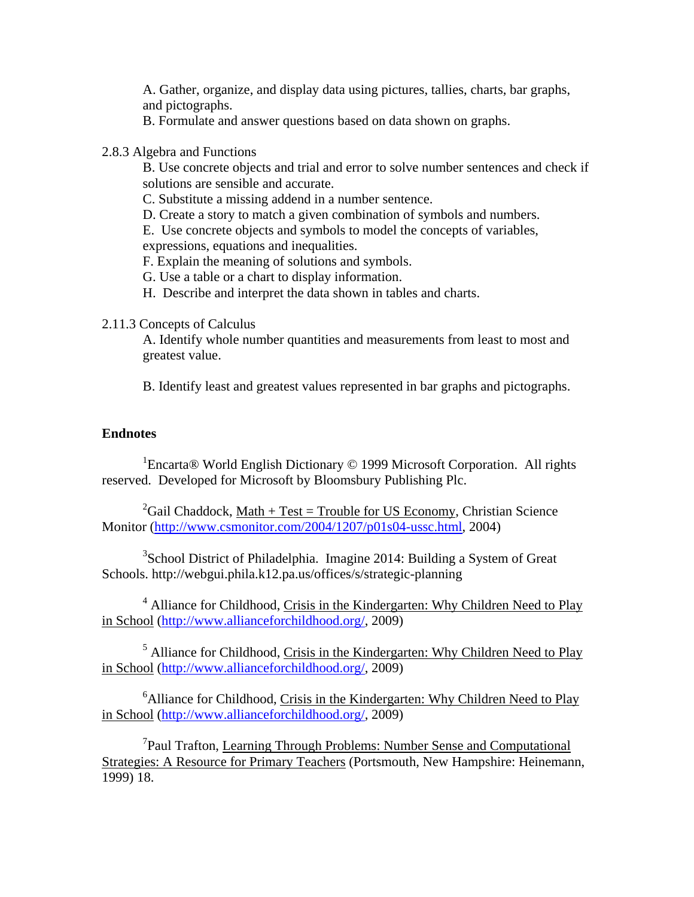A. Gather, organize, and display data using pictures, tallies, charts, bar graphs, and pictographs.

B. Formulate and answer questions based on data shown on graphs.

#### 2.8.3 Algebra and Functions

B. Use concrete objects and trial and error to solve number sentences and check if solutions are sensible and accurate.

C. Substitute a missing addend in a number sentence.

D. Create a story to match a given combination of symbols and numbers.

E. Use concrete objects and symbols to model the concepts of variables, expressions, equations and inequalities.

F. Explain the meaning of solutions and symbols.

G. Use a table or a chart to display information.

H. Describe and interpret the data shown in tables and charts.

### 2.11.3 Concepts of Calculus

A. Identify whole number quantities and measurements from least to most and greatest value.

B. Identify least and greatest values represented in bar graphs and pictographs.

## **Endnotes**

<sup>1</sup>Encarta<sup>®</sup> World English Dictionary © 1999 Microsoft Corporation. All rights reserved. Developed for Microsoft by Bloomsbury Publishing Plc.

<sup>2</sup>Gail Chaddock, <u>Math + Test = Trouble for US Economy</u>, Christian Science Monitor [\(http://www.csmonitor.com/2004/1207/p01s04-ussc.html](http://www.csmonitor.com/2004/1207/p01s04-ussc.html), 2004)

<sup>3</sup>School District of Philadelphia. Imagine 2014: Building a System of Great Schools. http://webgui.phila.k12.pa.us/offices/s/strategic-planning

<sup>4</sup> Alliance for Childhood, Crisis in the Kindergarten: Why Children Need to Play in School ([http://www.allianceforchildhood.org/,](http://www.allianceforchildhood.org/) 2009)

<sup>5</sup> Alliance for Childhood, Crisis in the Kindergarten: Why Children Need to Play in School ([http://www.allianceforchildhood.org/,](http://www.allianceforchildhood.org/) 2009)

<sup>6</sup> Alliance for Childhood, Crisis in the Kindergarten: Why Children Need to Play in School ([http://www.allianceforchildhood.org/,](http://www.allianceforchildhood.org/) 2009)

<sup>7</sup>Paul Trafton, Learning Through Problems: Number Sense and Computational Strategies: A Resource for Primary Teachers (Portsmouth, New Hampshire: Heinemann, 1999) 18.